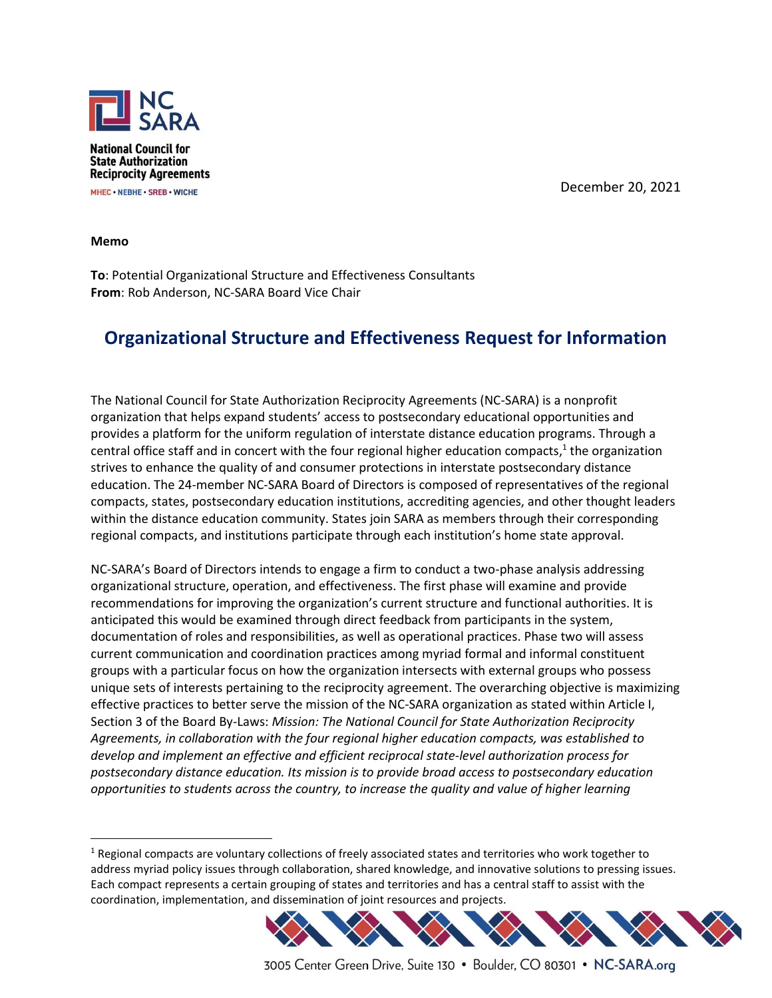

December 20, 2021

**Memo**

**To**: Potential Organizational Structure and Effectiveness Consultants **From**: Rob Anderson, NC-SARA Board Vice Chair

## **Organizational Structure and Effectiveness Request for Information**

The National Council for State Authorization Reciprocity Agreements (NC-SARA) is a nonprofit organization that helps expand students' access to postsecondary educational opportunities and provides a platform for the uniform regulation of interstate distance education programs. Through a central office staff and in concert with the four regional higher education compacts,<sup>1</sup> the organization strives to enhance the quality of and consumer protections in interstate postsecondary distance education. The 24-member NC-SARA Board of Directors is composed of representatives of the regional compacts, states, postsecondary education institutions, accrediting agencies, and other thought leaders within the distance education community. States join SARA as members through their corresponding regional compacts, and institutions participate through each institution's home state approval.

NC-SARA's Board of Directors intends to engage a firm to conduct a two-phase analysis addressing organizational structure, operation, and effectiveness. The first phase will examine and provide recommendations for improving the organization's current structure and functional authorities. It is anticipated this would be examined through direct feedback from participants in the system, documentation of roles and responsibilities, as well as operational practices. Phase two will assess current communication and coordination practices among myriad formal and informal constituent groups with a particular focus on how the organization intersects with external groups who possess unique sets of interests pertaining to the reciprocity agreement. The overarching objective is maximizing effective practices to better serve the mission of the NC-SARA organization as stated within Article I, Section 3 of the Board By-Laws: *Mission: The National Council for State Authorization Reciprocity Agreements, in collaboration with the four regional higher education compacts, was established to develop and implement an effective and efficient reciprocal state-level authorization process for postsecondary distance education. Its mission is to provide broad access to postsecondary education opportunities to students across the country, to increase the quality and value of higher learning* 

<sup>&</sup>lt;sup>1</sup> Regional compacts are voluntary collections of freely associated states and territories who work together to address myriad policy issues through collaboration, shared knowledge, and innovative solutions to pressing issues. Each compact represents a certain grouping of states and territories and has a central staff to assist with the coordination, implementation, and dissemination of joint resources and projects.



3005 Center Green Drive, Suite 130 · Boulder, CO 80301 · NC-SARA.org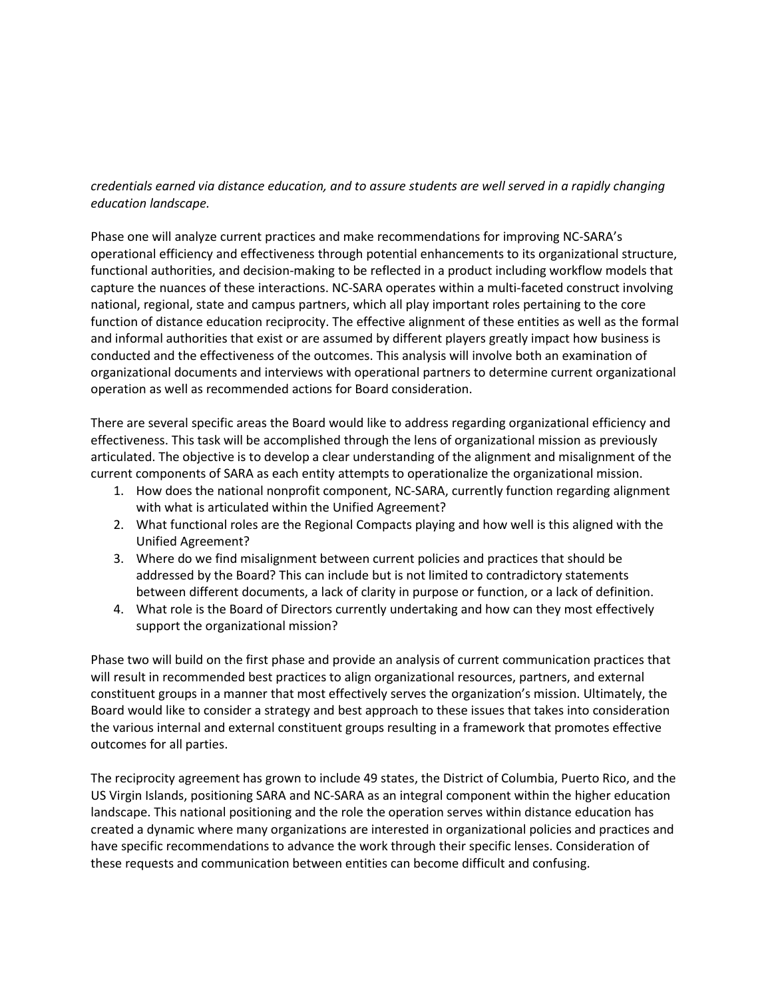## *credentials earned via distance education, and to assure students are well served in a rapidly changing education landscape.*

Phase one will analyze current practices and make recommendations for improving NC-SARA's operational efficiency and effectiveness through potential enhancements to its organizational structure, functional authorities, and decision-making to be reflected in a product including workflow models that capture the nuances of these interactions. NC-SARA operates within a multi-faceted construct involving national, regional, state and campus partners, which all play important roles pertaining to the core function of distance education reciprocity. The effective alignment of these entities as well as the formal and informal authorities that exist or are assumed by different players greatly impact how business is conducted and the effectiveness of the outcomes. This analysis will involve both an examination of organizational documents and interviews with operational partners to determine current organizational operation as well as recommended actions for Board consideration.

There are several specific areas the Board would like to address regarding organizational efficiency and effectiveness. This task will be accomplished through the lens of organizational mission as previously articulated. The objective is to develop a clear understanding of the alignment and misalignment of the current components of SARA as each entity attempts to operationalize the organizational mission.

- 1. How does the national nonprofit component, NC-SARA, currently function regarding alignment with what is articulated within the Unified Agreement?
- 2. What functional roles are the Regional Compacts playing and how well is this aligned with the Unified Agreement?
- 3. Where do we find misalignment between current policies and practices that should be addressed by the Board? This can include but is not limited to contradictory statements between different documents, a lack of clarity in purpose or function, or a lack of definition.
- 4. What role is the Board of Directors currently undertaking and how can they most effectively support the organizational mission?

Phase two will build on the first phase and provide an analysis of current communication practices that will result in recommended best practices to align organizational resources, partners, and external constituent groups in a manner that most effectively serves the organization's mission. Ultimately, the Board would like to consider a strategy and best approach to these issues that takes into consideration the various internal and external constituent groups resulting in a framework that promotes effective outcomes for all parties.

The reciprocity agreement has grown to include 49 states, the District of Columbia, Puerto Rico, and the US Virgin Islands, positioning SARA and NC-SARA as an integral component within the higher education landscape. This national positioning and the role the operation serves within distance education has created a dynamic where many organizations are interested in organizational policies and practices and have specific recommendations to advance the work through their specific lenses. Consideration of these requests and communication between entities can become difficult and confusing.